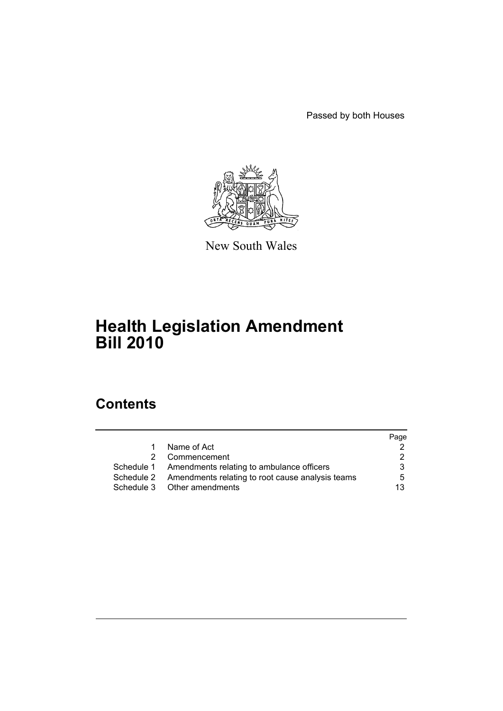Passed by both Houses



New South Wales

# **Health Legislation Amendment Bill 2010**

# **Contents**

|    |                                                             | Page |
|----|-------------------------------------------------------------|------|
| 1. | Name of Act                                                 | 2    |
|    | 2 Commencement                                              | 2    |
|    | Schedule 1 Amendments relating to ambulance officers        | 3    |
|    | Schedule 2 Amendments relating to root cause analysis teams | 5    |
|    | Schedule 3 Other amendments                                 | 13   |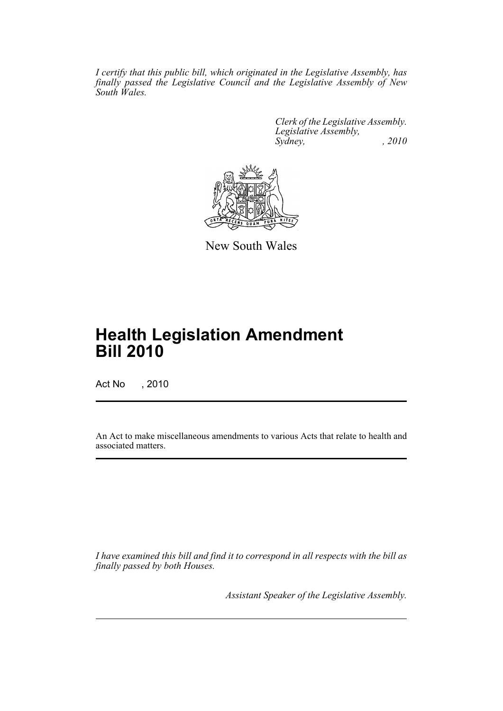*I certify that this public bill, which originated in the Legislative Assembly, has finally passed the Legislative Council and the Legislative Assembly of New South Wales.*

> *Clerk of the Legislative Assembly. Legislative Assembly, Sydney,* , 2010



New South Wales

# **Health Legislation Amendment Bill 2010**

Act No , 2010

An Act to make miscellaneous amendments to various Acts that relate to health and associated matters.

*I have examined this bill and find it to correspond in all respects with the bill as finally passed by both Houses.*

*Assistant Speaker of the Legislative Assembly.*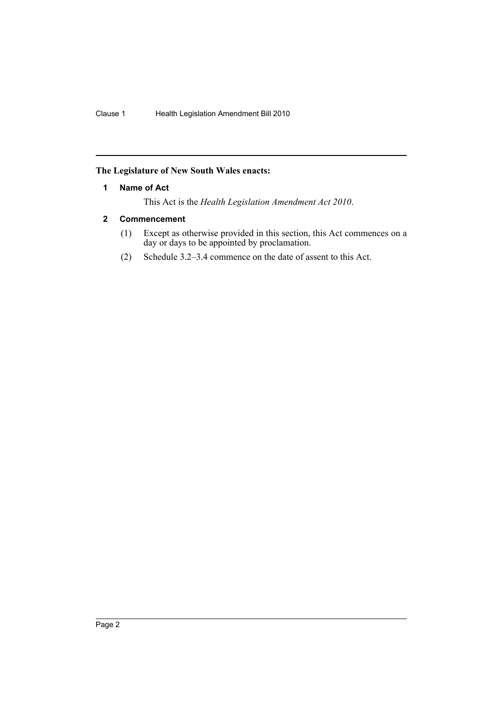# <span id="page-2-0"></span>**The Legislature of New South Wales enacts:**

### **1 Name of Act**

This Act is the *Health Legislation Amendment Act 2010*.

# <span id="page-2-1"></span>**2 Commencement**

- (1) Except as otherwise provided in this section, this Act commences on a day or days to be appointed by proclamation.
- (2) Schedule 3.2–3.4 commence on the date of assent to this Act.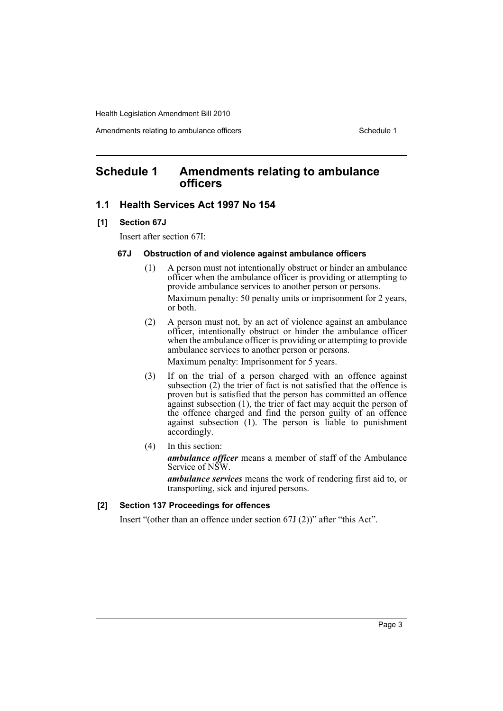Amendments relating to ambulance officers Schedule 1 Schedule 1

# <span id="page-3-0"></span>**Schedule 1 Amendments relating to ambulance officers**

# **1.1 Health Services Act 1997 No 154**

#### **[1] Section 67J**

Insert after section 67I:

## **67J Obstruction of and violence against ambulance officers**

- (1) A person must not intentionally obstruct or hinder an ambulance officer when the ambulance officer is providing or attempting to provide ambulance services to another person or persons. Maximum penalty: 50 penalty units or imprisonment for 2 years, or both.
- (2) A person must not, by an act of violence against an ambulance officer, intentionally obstruct or hinder the ambulance officer when the ambulance officer is providing or attempting to provide ambulance services to another person or persons.

Maximum penalty: Imprisonment for 5 years.

- (3) If on the trial of a person charged with an offence against subsection (2) the trier of fact is not satisfied that the offence is proven but is satisfied that the person has committed an offence against subsection (1), the trier of fact may acquit the person of the offence charged and find the person guilty of an offence against subsection (1). The person is liable to punishment accordingly.
- (4) In this section:

*ambulance officer* means a member of staff of the Ambulance Service of NSW.

*ambulance services* means the work of rendering first aid to, or transporting, sick and injured persons.

#### **[2] Section 137 Proceedings for offences**

Insert "(other than an offence under section 67J (2))" after "this Act".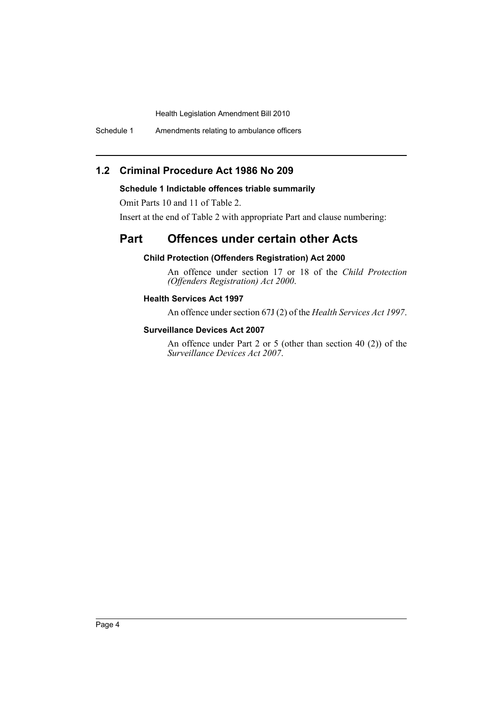Schedule 1 Amendments relating to ambulance officers

# **1.2 Criminal Procedure Act 1986 No 209**

# **Schedule 1 Indictable offences triable summarily**

Omit Parts 10 and 11 of Table 2.

Insert at the end of Table 2 with appropriate Part and clause numbering:

# **Part Offences under certain other Acts**

# **Child Protection (Offenders Registration) Act 2000**

An offence under section 17 or 18 of the *Child Protection (Offenders Registration) Act 2000*.

# **Health Services Act 1997**

An offence under section 67J (2) of the *Health Services Act 1997*.

# **Surveillance Devices Act 2007**

An offence under Part 2 or 5 (other than section 40 (2)) of the *Surveillance Devices Act 2007*.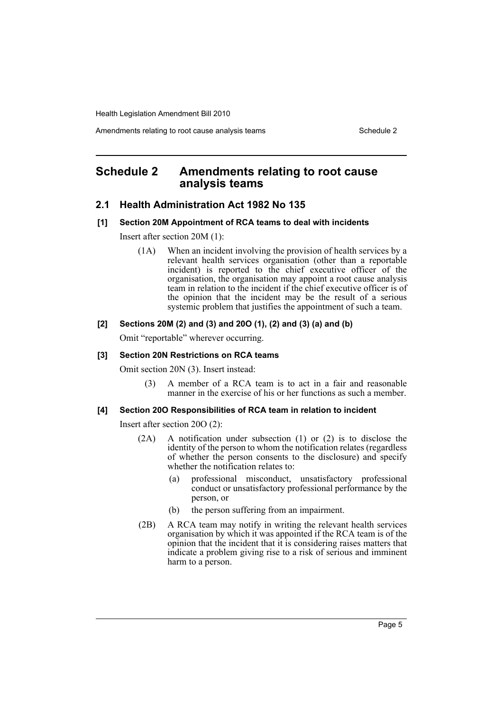Amendments relating to root cause analysis teams Schedule 2

# <span id="page-5-0"></span>**Schedule 2 Amendments relating to root cause analysis teams**

# **2.1 Health Administration Act 1982 No 135**

#### **[1] Section 20M Appointment of RCA teams to deal with incidents**

Insert after section 20M (1):

(1A) When an incident involving the provision of health services by a relevant health services organisation (other than a reportable incident) is reported to the chief executive officer of the organisation, the organisation may appoint a root cause analysis team in relation to the incident if the chief executive officer is of the opinion that the incident may be the result of a serious systemic problem that justifies the appointment of such a team.

### **[2] Sections 20M (2) and (3) and 20O (1), (2) and (3) (a) and (b)**

Omit "reportable" wherever occurring.

#### **[3] Section 20N Restrictions on RCA teams**

Omit section 20N (3). Insert instead:

(3) A member of a RCA team is to act in a fair and reasonable manner in the exercise of his or her functions as such a member.

#### **[4] Section 20O Responsibilities of RCA team in relation to incident**

Insert after section 20O (2):

- (2A) A notification under subsection (1) or (2) is to disclose the identity of the person to whom the notification relates (regardless of whether the person consents to the disclosure) and specify whether the notification relates to:
	- (a) professional misconduct, unsatisfactory professional conduct or unsatisfactory professional performance by the person, or
	- (b) the person suffering from an impairment.
- (2B) A RCA team may notify in writing the relevant health services organisation by which it was appointed if the RCA team is of the opinion that the incident that it is considering raises matters that indicate a problem giving rise to a risk of serious and imminent harm to a person.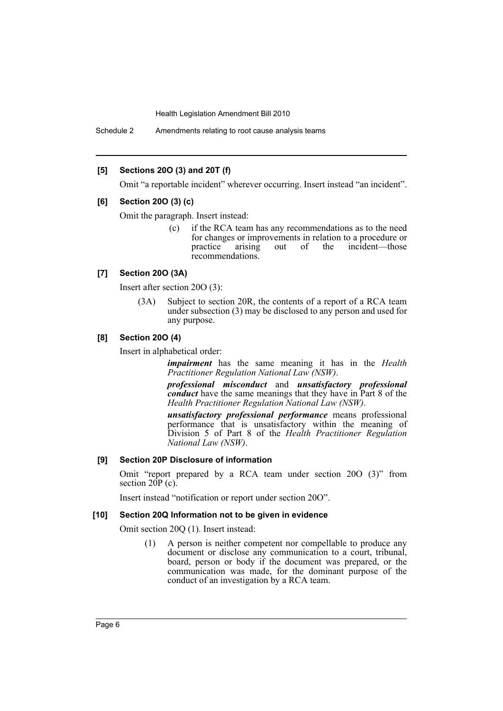Schedule 2 Amendments relating to root cause analysis teams

#### **[5] Sections 20O (3) and 20T (f)**

Omit "a reportable incident" wherever occurring. Insert instead "an incident".

#### **[6] Section 20O (3) (c)**

Omit the paragraph. Insert instead:

(c) if the RCA team has any recommendations as to the need for changes or improvements in relation to a procedure or practice arising out of the incident—those recommendations.

#### **[7] Section 20O (3A)**

Insert after section 20O (3):

(3A) Subject to section 20R, the contents of a report of a RCA team under subsection (3) may be disclosed to any person and used for any purpose.

#### **[8] Section 20O (4)**

Insert in alphabetical order:

*impairment* has the same meaning it has in the *Health Practitioner Regulation National Law (NSW)*.

*professional misconduct* and *unsatisfactory professional conduct* have the same meanings that they have in Part 8 of the *Health Practitioner Regulation National Law (NSW)*.

*unsatisfactory professional performance* means professional performance that is unsatisfactory within the meaning of Division 5 of Part 8 of the *Health Practitioner Regulation National Law (NSW)*.

#### **[9] Section 20P Disclosure of information**

Omit "report prepared by a RCA team under section 20O (3)" from section  $20P(c)$ .

Insert instead "notification or report under section 20O".

#### **[10] Section 20Q Information not to be given in evidence**

Omit section 20Q (1). Insert instead:

(1) A person is neither competent nor compellable to produce any document or disclose any communication to a court, tribunal, board, person or body if the document was prepared, or the communication was made, for the dominant purpose of the conduct of an investigation by a RCA team.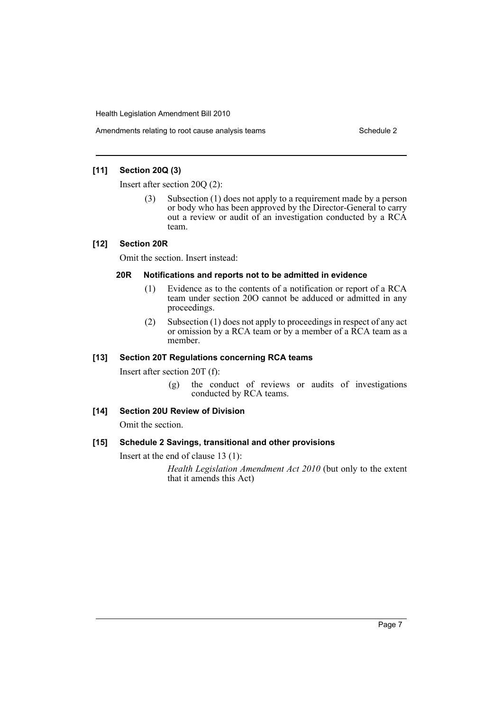Amendments relating to root cause analysis teams Schedule 2

# **[11] Section 20Q (3)**

Insert after section 20Q (2):

(3) Subsection (1) does not apply to a requirement made by a person or body who has been approved by the Director-General to carry out a review or audit of an investigation conducted by a RCA team.

# **[12] Section 20R**

Omit the section. Insert instead:

# **20R Notifications and reports not to be admitted in evidence**

- (1) Evidence as to the contents of a notification or report of a RCA team under section 20O cannot be adduced or admitted in any proceedings.
- (2) Subsection (1) does not apply to proceedings in respect of any act or omission by a RCA team or by a member of a RCA team as a member.

# **[13] Section 20T Regulations concerning RCA teams**

Insert after section 20T (f):

(g) the conduct of reviews or audits of investigations conducted by RCA teams.

# **[14] Section 20U Review of Division**

Omit the section.

# **[15] Schedule 2 Savings, transitional and other provisions**

Insert at the end of clause 13 (1):

*Health Legislation Amendment Act 2010* (but only to the extent that it amends this Act)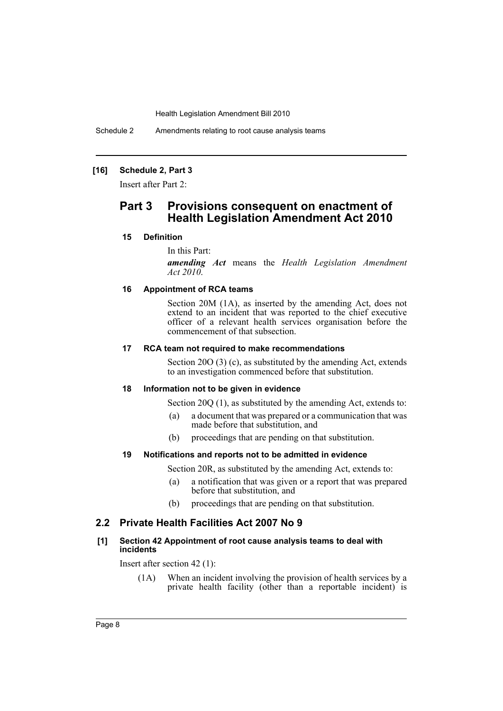Schedule 2 Amendments relating to root cause analysis teams

# **[16] Schedule 2, Part 3**

Insert after Part 2:

# **Part 3 Provisions consequent on enactment of Health Legislation Amendment Act 2010**

### **15 Definition**

In this Part:

*amending Act* means the *Health Legislation Amendment Act 2010*.

#### **16 Appointment of RCA teams**

Section 20M (1A), as inserted by the amending Act, does not extend to an incident that was reported to the chief executive officer of a relevant health services organisation before the commencement of that subsection.

#### **17 RCA team not required to make recommendations**

Section 20O (3) (c), as substituted by the amending Act, extends to an investigation commenced before that substitution.

#### **18 Information not to be given in evidence**

Section 20O (1), as substituted by the amending Act, extends to:

- (a) a document that was prepared or a communication that was made before that substitution, and
- (b) proceedings that are pending on that substitution.

#### **19 Notifications and reports not to be admitted in evidence**

Section 20R, as substituted by the amending Act, extends to:

- (a) a notification that was given or a report that was prepared before that substitution, and
- (b) proceedings that are pending on that substitution.

# **2.2 Private Health Facilities Act 2007 No 9**

#### **[1] Section 42 Appointment of root cause analysis teams to deal with incidents**

Insert after section 42 (1):

(1A) When an incident involving the provision of health services by a private health facility (other than a reportable incident) is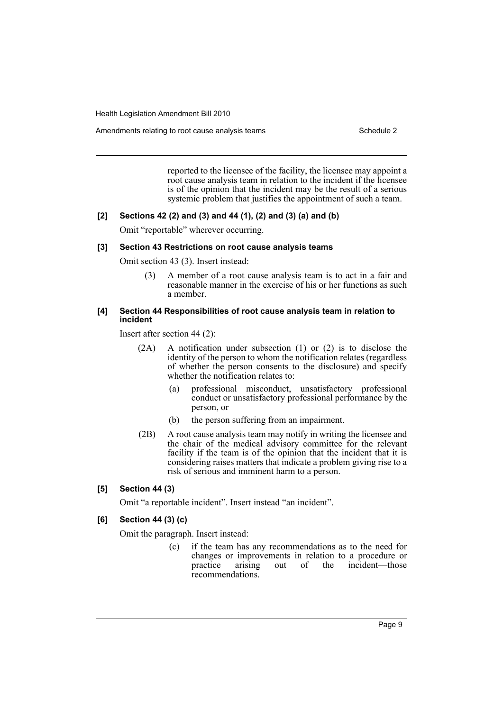Amendments relating to root cause analysis teams Schedule 2

reported to the licensee of the facility, the licensee may appoint a root cause analysis team in relation to the incident if the licensee is of the opinion that the incident may be the result of a serious systemic problem that justifies the appointment of such a team.

### **[2] Sections 42 (2) and (3) and 44 (1), (2) and (3) (a) and (b)**

Omit "reportable" wherever occurring.

#### **[3] Section 43 Restrictions on root cause analysis teams**

Omit section 43 (3). Insert instead:

(3) A member of a root cause analysis team is to act in a fair and reasonable manner in the exercise of his or her functions as such a member.

#### **[4] Section 44 Responsibilities of root cause analysis team in relation to incident**

Insert after section 44 (2):

- (2A) A notification under subsection (1) or (2) is to disclose the identity of the person to whom the notification relates (regardless of whether the person consents to the disclosure) and specify whether the notification relates to:
	- (a) professional misconduct, unsatisfactory professional conduct or unsatisfactory professional performance by the person, or
	- (b) the person suffering from an impairment.
- (2B) A root cause analysis team may notify in writing the licensee and the chair of the medical advisory committee for the relevant facility if the team is of the opinion that the incident that it is considering raises matters that indicate a problem giving rise to a risk of serious and imminent harm to a person.

# **[5] Section 44 (3)**

Omit "a reportable incident". Insert instead "an incident".

# **[6] Section 44 (3) (c)**

Omit the paragraph. Insert instead:

(c) if the team has any recommendations as to the need for changes or improvements in relation to a procedure or practice arising out of the incident—those out of the incident—those recommendations.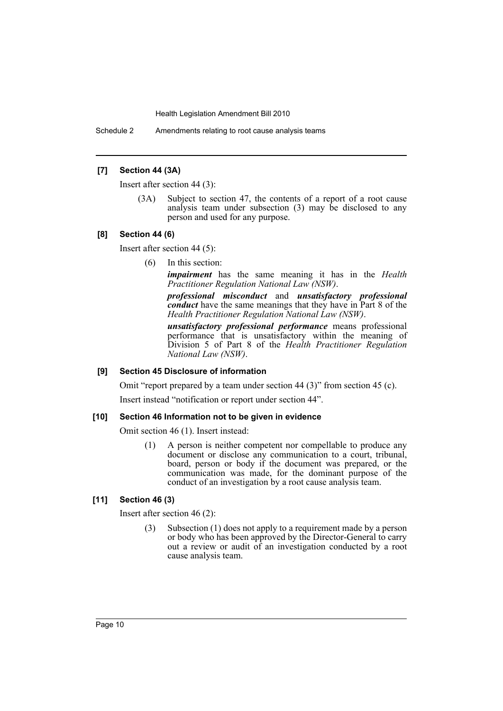Schedule 2 Amendments relating to root cause analysis teams

## **[7] Section 44 (3A)**

Insert after section 44 (3):

(3A) Subject to section 47, the contents of a report of a root cause analysis team under subsection (3) may be disclosed to any person and used for any purpose.

#### **[8] Section 44 (6)**

Insert after section 44 (5):

(6) In this section:

*impairment* has the same meaning it has in the *Health Practitioner Regulation National Law (NSW)*.

*professional misconduct* and *unsatisfactory professional conduct* have the same meanings that they have in Part 8 of the *Health Practitioner Regulation National Law (NSW)*.

*unsatisfactory professional performance* means professional performance that is unsatisfactory within the meaning of Division 5 of Part 8 of the *Health Practitioner Regulation National Law (NSW)*.

#### **[9] Section 45 Disclosure of information**

Omit "report prepared by a team under section 44 (3)" from section 45 (c).

Insert instead "notification or report under section 44".

#### **[10] Section 46 Information not to be given in evidence**

Omit section 46 (1). Insert instead:

(1) A person is neither competent nor compellable to produce any document or disclose any communication to a court, tribunal, board, person or body if the document was prepared, or the communication was made, for the dominant purpose of the conduct of an investigation by a root cause analysis team.

# **[11] Section 46 (3)**

Insert after section 46 (2):

(3) Subsection (1) does not apply to a requirement made by a person or body who has been approved by the Director-General to carry out a review or audit of an investigation conducted by a root cause analysis team.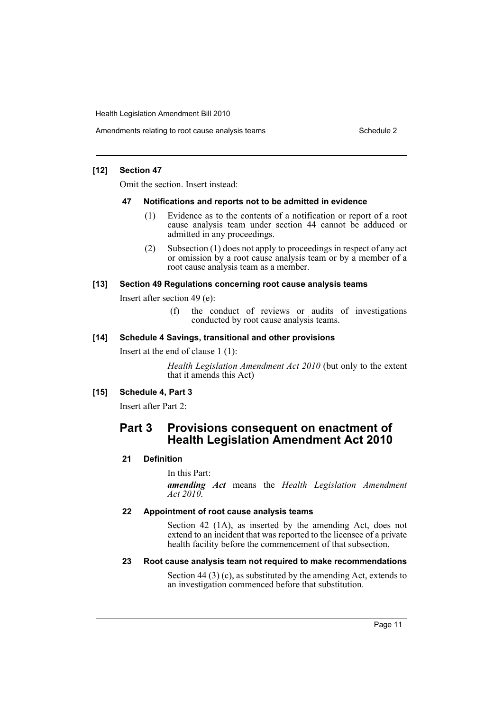Amendments relating to root cause analysis teams Schedule 2

## **[12] Section 47**

Omit the section. Insert instead:

#### **47 Notifications and reports not to be admitted in evidence**

- (1) Evidence as to the contents of a notification or report of a root cause analysis team under section 44 cannot be adduced or admitted in any proceedings.
- (2) Subsection (1) does not apply to proceedings in respect of any act or omission by a root cause analysis team or by a member of a root cause analysis team as a member.

# **[13] Section 49 Regulations concerning root cause analysis teams**

Insert after section 49 (e):

(f) the conduct of reviews or audits of investigations conducted by root cause analysis teams.

# **[14] Schedule 4 Savings, transitional and other provisions**

Insert at the end of clause 1 (1):

*Health Legislation Amendment Act 2010* (but only to the extent that it amends this Act)

# **[15] Schedule 4, Part 3**

Insert after Part 2:

# **Part 3 Provisions consequent on enactment of Health Legislation Amendment Act 2010**

# **21 Definition**

In this Part:

*amending Act* means the *Health Legislation Amendment Act 2010*.

# **22 Appointment of root cause analysis teams**

Section 42 (1A), as inserted by the amending Act, does not extend to an incident that was reported to the licensee of a private health facility before the commencement of that subsection.

# **23 Root cause analysis team not required to make recommendations**

Section 44 (3) (c), as substituted by the amending Act, extends to an investigation commenced before that substitution.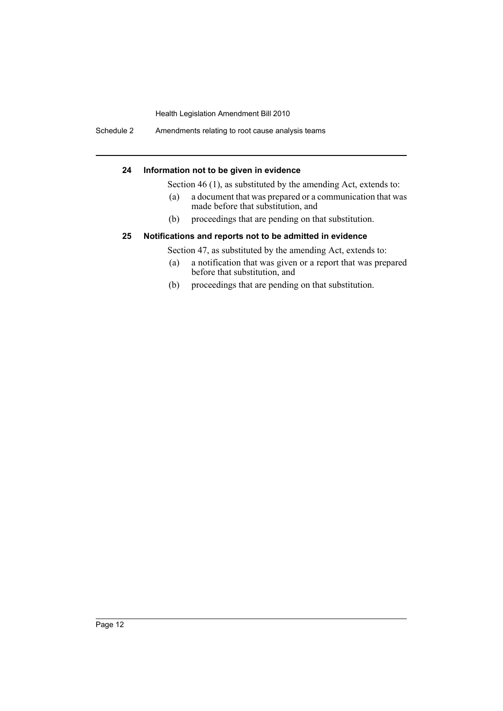Schedule 2 Amendments relating to root cause analysis teams

## **24 Information not to be given in evidence**

Section 46 (1), as substituted by the amending Act, extends to:

- (a) a document that was prepared or a communication that was made before that substitution, and
- (b) proceedings that are pending on that substitution.

# **25 Notifications and reports not to be admitted in evidence**

Section 47, as substituted by the amending Act, extends to:

- (a) a notification that was given or a report that was prepared before that substitution, and
- (b) proceedings that are pending on that substitution.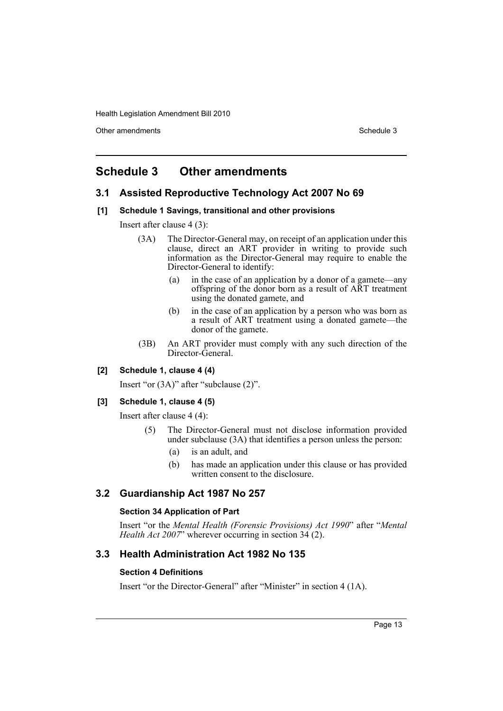Other amendments **Schedule 3** Schedule 3

# <span id="page-13-0"></span>**Schedule 3 Other amendments**

## **3.1 Assisted Reproductive Technology Act 2007 No 69**

#### **[1] Schedule 1 Savings, transitional and other provisions**

Insert after clause 4 (3):

- (3A) The Director-General may, on receipt of an application under this clause, direct an ART provider in writing to provide such information as the Director-General may require to enable the Director-General to identify:
	- (a) in the case of an application by a donor of a gamete—any offspring of the donor born as a result of ART treatment using the donated gamete, and
	- (b) in the case of an application by a person who was born as a result of ART treatment using a donated gamete—the donor of the gamete.
- (3B) An ART provider must comply with any such direction of the Director-General.

#### **[2] Schedule 1, clause 4 (4)**

Insert "or (3A)" after "subclause (2)".

# **[3] Schedule 1, clause 4 (5)**

Insert after clause 4 (4):

- (5) The Director-General must not disclose information provided under subclause (3A) that identifies a person unless the person:
	- (a) is an adult, and
	- (b) has made an application under this clause or has provided written consent to the disclosure.

# **3.2 Guardianship Act 1987 No 257**

#### **Section 34 Application of Part**

Insert "or the *Mental Health (Forensic Provisions) Act 1990*" after "*Mental Health Act 2007*" wherever occurring in section 34 (2).

# **3.3 Health Administration Act 1982 No 135**

#### **Section 4 Definitions**

Insert "or the Director-General" after "Minister" in section 4 (1A).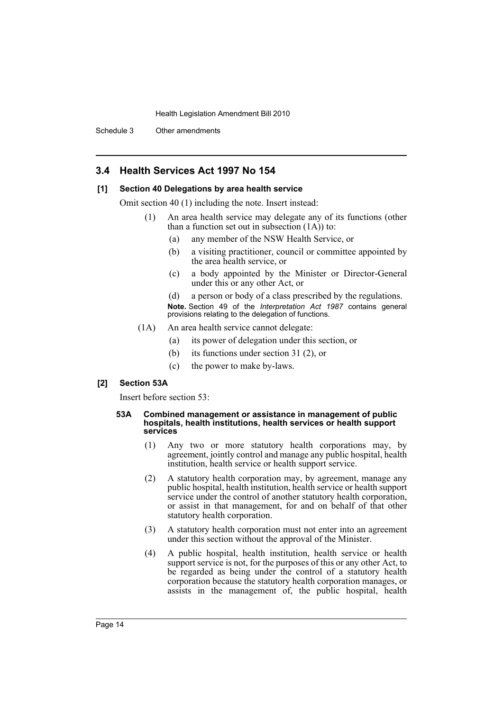Schedule 3 Other amendments

# **3.4 Health Services Act 1997 No 154**

#### **[1] Section 40 Delegations by area health service**

Omit section 40 (1) including the note. Insert instead:

- (1) An area health service may delegate any of its functions (other than a function set out in subsection  $(1A)$  to:
	- (a) any member of the NSW Health Service, or
	- (b) a visiting practitioner, council or committee appointed by the area health service, or
	- (c) a body appointed by the Minister or Director-General under this or any other Act, or
	- (d) a person or body of a class prescribed by the regulations. **Note.** Section 49 of the *Interpretation Act 1987* contains general provisions relating to the delegation of functions.
- (1A) An area health service cannot delegate:
	- (a) its power of delegation under this section, or
	- (b) its functions under section 31 (2), or
	- (c) the power to make by-laws.

#### **[2] Section 53A**

Insert before section 53:

#### **53A Combined management or assistance in management of public hospitals, health institutions, health services or health support services**

- (1) Any two or more statutory health corporations may, by agreement, jointly control and manage any public hospital, health institution, health service or health support service.
- (2) A statutory health corporation may, by agreement, manage any public hospital, health institution, health service or health support service under the control of another statutory health corporation, or assist in that management, for and on behalf of that other statutory health corporation.
- (3) A statutory health corporation must not enter into an agreement under this section without the approval of the Minister.
- (4) A public hospital, health institution, health service or health support service is not, for the purposes of this or any other Act, to be regarded as being under the control of a statutory health corporation because the statutory health corporation manages, or assists in the management of, the public hospital, health